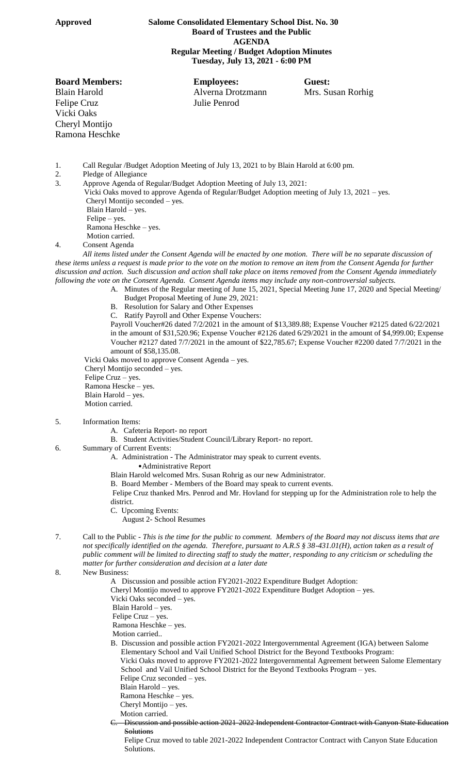## **Approved Salome Consolidated Elementary School Dist. No. 30 Board of Trustees and the Public AGENDA Regular Meeting / Budget Adoption Minutes Tuesday, July 13, 2021 - 6:00 PM**

Felipe Cruz Julie Penrod Vicki Oaks Cheryl Montijo Ramona Heschke

**Board Members: Employees: Guest:** Blain Harold Alverna Drotzmann Mrs. Susan Rorhig

1. Call Regular /Budget Adoption Meeting of July 13, 2021 to by Blain Harold at 6:00 pm.

- Pledge of Allegiance
- 3. Approve Agenda of Regular/Budget Adoption Meeting of July 13, 2021: Vicki Oaks moved to approve Agenda of Regular/Budget Adoption meeting of July 13, 2021 – yes. Cheryl Montijo seconded – yes. Blain Harold – yes. Felipe – yes. Ramona Heschke – yes.

Motion carried.

4. Consent Agenda

*All items listed under the Consent Agenda will be enacted by one motion. There will be no separate discussion of these items unless a request is made prior to the vote on the motion to remove an item from the Consent Agenda for further discussion and action. Such discussion and action shall take place on items removed from the Consent Agenda immediately following the vote on the Consent Agenda. Consent Agenda items may include any non-controversial subjects.*

- A. Minutes of the Regular meeting of June 15, 2021, Special Meeting June 17, 2020 and Special Meeting/ Budget Proposal Meeting of June 29, 2021:
	- B. Resolution for Salary and Other Expenses
	- C. Ratify Payroll and Other Expense Vouchers:

Payroll Voucher#26 dated 7/2/2021 in the amount of \$13,389.88; Expense Voucher #2125 dated 6/22/2021 in the amount of \$31,520.96; Expense Voucher #2126 dated 6/29/2021 in the amount of \$4,999.00; Expense Voucher #2127 dated 7/7/2021 in the amount of \$22,785.67; Expense Voucher #2200 dated 7/7/2021 in the amount of \$58,135.08.

 Vicki Oaks moved to approve Consent Agenda – yes. Cheryl Montijo seconded – yes. Felipe Cruz – yes. Ramona Hescke – yes. Blain Harold – yes. Motion carried.

- 5. Information Items:
	- A. Cafeteria Report- no report
	- B. Student Activities/Student Council/Library Report- no report.
- 6. Summary of Current Events:
	- A. Administration The Administrator may speak to current events.
		- •Administrative Report
	- Blain Harold welcomed Mrs. Susan Rohrig as our new Administrator.
	- B. Board Member Members of the Board may speak to current events.

Felipe Cruz thanked Mrs. Penrod and Mr. Hovland for stepping up for the Administration role to help the district.

- C. Upcoming Events:
	- August 2- School Resumes
- 7. Call to the Public *This is the time for the public to comment. Members of the Board may not discuss items that are not specifically identified on the agenda. Therefore, pursuant to A.R.S § 38-431.01(H), action taken as a result of public comment will be limited to directing staff to study the matter, responding to any criticism or scheduling the matter for further consideration and decision at a later date*
- 8. New Business:
	- A Discussion and possible action FY2021-2022 Expenditure Budget Adoption:
	- Cheryl Montijo moved to approve FY2021-2022 Expenditure Budget Adoption yes.
	- Vicki Oaks seconded yes.
	- Blain Harold yes.
	- Felipe Cruz yes.
	- Ramona Heschke yes.
	- Motion carried..
	- B. Discussion and possible action FY2021-2022 Intergovernmental Agreement (IGA) between Salome Elementary School and Vail Unified School District for the Beyond Textbooks Program: Vicki Oaks moved to approve FY2021-2022 Intergovernmental Agreement between Salome Elementary School and Vail Unified School District for the Beyond Textbooks Program – yes.
		- Felipe Cruz seconded yes.
		- Blain Harold yes.
		- Ramona Heschke yes.
		- Cheryl Montijo yes.
		- Motion carried. Discussion and possible action 2021-2022 Independent Contractor Contract with Canyon State Education
		- **Solutions**

Felipe Cruz moved to table 2021-2022 Independent Contractor Contract with Canyon State Education Solutions.